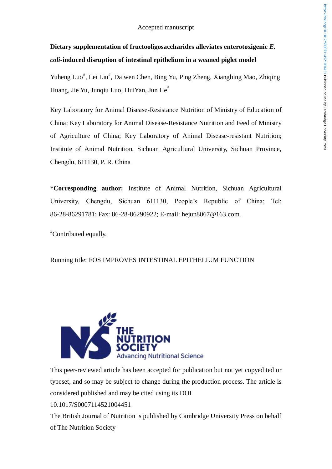# **Dietary supplementation of fructooligosaccharides alleviates enterotoxigenic** *E. coli***-induced disruption of intestinal epithelium in a weaned piglet model**

Yuheng Luo<sup>#</sup>, Lei Liu<sup>#</sup>, Daiwen Chen, Bing Yu, Ping Zheng, Xiangbing Mao, Zhiqing Huang, Jie Yu, Junqiu Luo, HuiYan, Jun He\*

Key Laboratory for Animal Disease-Resistance Nutrition of Ministry of Education of China; Key Laboratory for Animal Disease-Resistance Nutrition and Feed of Ministry of Agriculture of China; Key Laboratory of Animal Disease-resistant Nutrition; Institute of Animal Nutrition, Sichuan Agricultural University, Sichuan Province, Chengdu, 611130, P. R. China

\***Corresponding author:** Institute of Animal Nutrition, Sichuan Agricultural University, Chengdu, Sichuan 611130, People's Republic of China; Tel: 86-28-86291781; Fax: 86-28-86290922; E-mail: [hejun8067@163.com.](mailto:hejun8067@163.com)

#Contributed equally.

Running title: FOS IMPROVES INTESTINAL EPITHELIUM FUNCTION



This peer-reviewed article has been accepted for publication but not yet copyedited or typeset, and so may be subject to change during the production process. The article is considered published and may be cited using its DOI 10.1017/S0007114521004451

The British Journal of Nutrition is published by Cambridge University Press on behalf of The Nutrition Society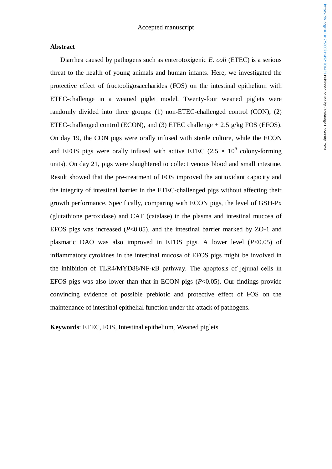#### **Abstract**

Diarrhea caused by pathogens such as enterotoxigenic *E. coli* (ETEC) is a serious threat to the health of young animals and human infants. Here, we investigated the protective effect of fructooligosaccharides (FOS) on the intestinal epithelium with ETEC-challenge in a weaned piglet model. Twenty-four weaned piglets were randomly divided into three groups: (1) non-ETEC-challenged control (CON), (2) ETEC-challenged control (ECON), and (3) ETEC challenge  $+ 2.5$  g/kg FOS (EFOS). On day 19, the CON pigs were orally infused with sterile culture, while the ECON and EFOS pigs were orally infused with active ETEC (2.5  $\times$  10<sup>9</sup> colony-forming units). On day 21, pigs were slaughtered to collect venous blood and small intestine. Result showed that the pre-treatment of FOS improved the antioxidant capacity and the integrity of intestinal barrier in the ETEC-challenged pigs without affecting their growth performance. Specifically, comparing with ECON pigs, the level of GSH-Px (glutathione peroxidase) and CAT (catalase) in the plasma and intestinal mucosa of EFOS pigs was increased (*P*<0.05), and the intestinal barrier marked by ZO-1 and plasmatic DAO was also improved in EFOS pigs. A lower level (*P*<0.05) of inflammatory cytokines in the intestinal mucosa of EFOS pigs might be involved in the inhibition of TLR4/MYD88/NF-κB pathway. The apoptosis of jejunal cells in EFOS pigs was also lower than that in ECON pigs (*P*<0.05). Our findings provide convincing evidence of possible prebiotic and protective effect of FOS on the maintenance of intestinal epithelial function under the attack of pathogens.

**Keywords**: ETEC, FOS, Intestinal epithelium, Weaned piglets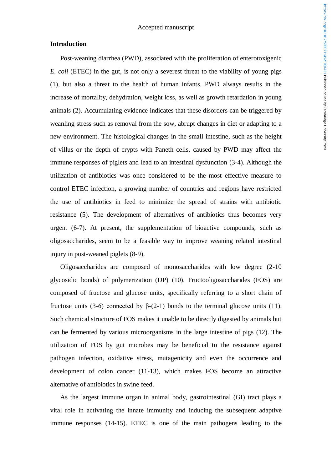#### **Introduction**

Post-weaning diarrhea (PWD), associated with the proliferation of enterotoxigenic *E. coli* (ETEC) in the gut, is not only a severest threat to the viability of young pigs (1), but also a threat to the health of human infants. PWD always results in the increase of mortality, dehydration, weight loss, as well as growth retardation in young animals (2). Accumulating evidence indicates that these disorders can be triggered by weanling stress such as removal from the sow, abrupt changes in diet or adapting to a new environment. The histological changes in the small intestine, such as the height of villus or the depth of crypts with Paneth cells, caused by PWD may affect the immune responses of piglets and lead to an intestinal dysfunction (3-4). Although the utilization of antibiotics was once considered to be the most effective measure to control ETEC infection, a growing number of countries and regions have restricted the use of antibiotics in feed to minimize the spread of strains with antibiotic resistance (5). The development of alternatives of antibiotics thus becomes very urgent (6-7). At present, the supplementation of bioactive compounds, such as oligosaccharides, seem to be a feasible way to improve weaning related intestinal injury in post-weaned piglets (8-9).

Oligosaccharides are composed of monosaccharides with low degree (2-10 glycosidic bonds) of polymerization (DP) (10). Fructooligosaccharides (FOS) are composed of fructose and glucose units, specifically referring to a short chain of fructose units (3-6) connected by β-(2-1) bonds to the terminal glucose units (11). Such chemical structure of FOS makes it unable to be directly digested by animals but can be fermented by various microorganisms in the large intestine of pigs (12). The utilization of FOS by gut microbes may be beneficial to the resistance against pathogen infection, oxidative stress, mutagenicity and even the occurrence and development of colon cancer (11-13), which makes FOS become an attractive alternative of antibiotics in swine feed.

As the largest immune organ in animal body, gastrointestinal (GI) tract plays a vital role in activating the innate immunity and inducing the subsequent adaptive immune responses (14-15). ETEC is one of the main pathogens leading to the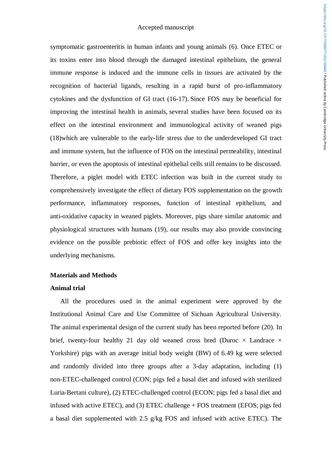symptomatic gastroenteritis in human infants and young animals (6). Once ETEC or its toxins enter into blood through the damaged intestinal epithelium, the general immune response is induced and the immune cells in tissues are activated by the recognition of bacterial ligands, resulting in a rapid burst of pro-inflammatory cytokines and the dysfunction of GI tract (16-17). Since FOS may be beneficial for improving the intestinal health in animals, several studies have been focused on its effect on the intestinal environment and immunological activity of weaned pigs (18)which are vulnerable to the early-life stress due to the underdeveloped GI tract and immune system, but the influence of FOS on the intestinal permeability, intestinal barrier, or even the apoptosis of intestinal epithelial cells still remains to be discussed. Therefore, a piglet model with ETEC infection was built in the current study to comprehensively investigate the effect of dietary FOS supplementation on the growth performance, inflammatory responses, function of intestinal epithelium, and anti-oxidative capacity in weaned piglets. Moreover, pigs share similar anatomic and physiological structures with humans (19), our results may also provide convincing evidence on the possible prebiotic effect of FOS and offer key insights into the underlying mechanisms.

#### **Materials and Methods**

#### **Animal trial**

All the procedures used in the animal experiment were approved by the Institutional Animal Care and Use Committee of Sichuan Agricultural University. The animal experimental design of the current study has been reported before (20). In brief, twenty-four healthy 21 day old weaned cross bred (Duroc  $\times$  Landrace  $\times$ Yorkshire) pigs with an average initial body weight (BW) of 6.49 kg were selected and randomly divided into three groups after a 3-day adaptation, including (1) non-ETEC-challenged control (CON; pigs fed a basal diet and infused with sterilized Luria-Bertani culture), (2) ETEC-challenged control (ECON; pigs fed a basal diet and infused with active ETEC), and (3) ETEC challenge + FOS treatment (EFOS; pigs fed a basal diet supplemented with 2.5 g/kg FOS and infused with active ETEC). The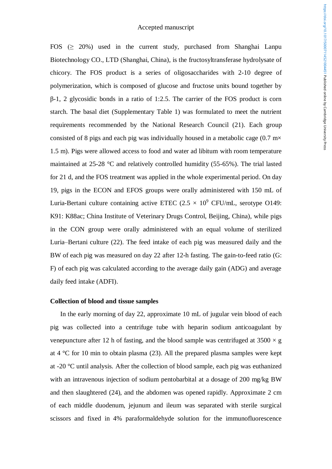FOS (> 20%) used in the current study, purchased from Shanghai Lanpu Biotechnology CO., LTD (Shanghai, China), is the fructosyltransferase hydrolysate of chicory. The FOS product is a series of oligosaccharides with 2-10 degree of polymerization, which is composed of glucose and fructose units bound together by β-1, 2 glycosidic bonds in a ratio of 1:2.5. The carrier of the FOS product is corn starch. The basal diet (Supplementary Table 1) was formulated to meet the nutrient requirements recommended by the National Research Council (21). Each group consisted of 8 pigs and each pig was individually housed in a metabolic cage  $(0.7 \text{ m} \times$ 1.5 m). Pigs were allowed access to food and water ad libitum with room temperature maintained at 25-28 °C and relatively controlled humidity (55-65%). The trial lasted for 21 d, and the FOS treatment was applied in the whole experimental period. On day 19, pigs in the ECON and EFOS groups were orally administered with 150 mL of Luria-Bertani culture containing active ETEC  $(2.5 \times 10^9 \text{ CFU/mL})$ , serotype O149: K91: K88ac; China Institute of Veterinary Drugs Control, Beijing, China), while pigs in the CON group were orally administered with an equal volume of sterilized Luria–Bertani culture (22). The feed intake of each pig was measured daily and the BW of each pig was measured on day 22 after 12-h fasting. The gain-to-feed ratio (G: F) of each pig was calculated according to the average daily gain (ADG) and average daily feed intake (ADFI).

#### **Collection of blood and tissue samples**

In the early morning of day 22, approximate 10 mL of jugular vein blood of each pig was collected into a centrifuge tube with heparin sodium anticoagulant by venepuncture after 12 h of fasting, and the blood sample was centrifuged at  $3500 \times g$ at 4 °C for 10 min to obtain plasma (23). All the prepared plasma samples were kept at -20 °C until analysis. After the collection of blood sample, each pig was euthanized with an intravenous injection of sodium pentobarbital at a dosage of 200 mg/kg BW and then slaughtered (24), and the abdomen was opened rapidly. Approximate 2 cm of each middle duodenum, jejunum and ileum was separated with sterile surgical scissors and fixed in 4% paraformaldehyde solution for the immunofluorescence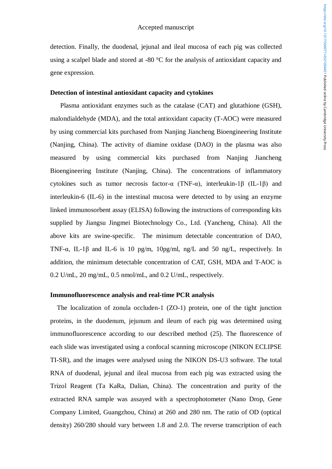detection. Finally, the duodenal, jejunal and ileal mucosa of each pig was collected using a scalpel blade and stored at -80 °C for the analysis of antioxidant capacity and gene expression.

#### **Detection of intestinal antioxidant capacity and cytokines**

Plasma antioxidant enzymes such as the catalase (CAT) and glutathione (GSH), malondialdehyde (MDA), and the total antioxidant capacity (T-AOC) were measured by using commercial kits purchased from Nanjing Jiancheng Bioengineering Institute (Nanjing, China). The activity of diamine oxidase (DAO) in the plasma was also measured by using commercial kits purchased from Nanjing Jiancheng Bioengineering Institute (Nanjing, China). The concentrations of inflammatory cytokines such as tumor necrosis factor- $\alpha$  (TNF- $\alpha$ ), interleukin-1 $\beta$  (IL-1 $\beta$ ) and interleukin-6 (IL-6) in the intestinal mucosa were detected to by using an enzyme linked immunosorbent assay (ELISA) following the instructions of corresponding kits supplied by Jiangsu Jingmei Biotechnology Co., Ltd. (Yancheng, China). All the above kits are swine-specific. The minimum detectable concentration of DAO, TNF- $\alpha$ , IL-1 $\beta$  and IL-6 is 10 pg/m, 10pg/ml, ng/L and 50 ng/L, respectively. In addition, the minimum detectable concentration of CAT, GSH, MDA and T-AOC is 0.2 U/mL, 20 mg/mL, 0.5 nmol/mL, and 0.2 U/mL, respectively.

#### **Immunofluorescence analysis and real-time PCR analysis**

The localization of zonula occluden-1 (ZO-1) protein, one of the tight junction proteins, in the duodenum, jejunum and ileum of each pig was determined using immunofluorescence according to our described method (25). The fluorescence of each slide was investigated using a confocal scanning microscope (NIKON ECLIPSE TI-SR), and the images were analysed using the NIKON DS-U3 software. The total RNA of duodenal, jejunal and ileal mucosa from each pig was extracted using the Trizol Reagent (Ta KaRa, Dalian, China). The concentration and purity of the extracted RNA sample was assayed with a spectrophotometer (Nano Drop, Gene Company Limited, Guangzhou, China) at 260 and 280 nm. The ratio of OD (optical density) 260/280 should vary between 1.8 and 2.0. The reverse transcription of each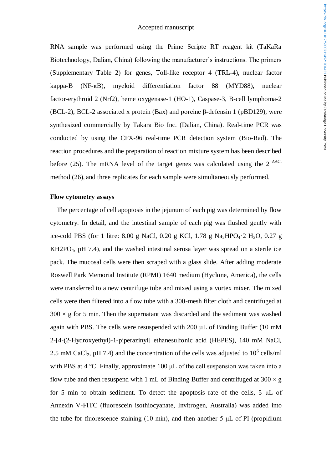RNA sample was performed using the Prime Scripte RT reagent kit (TaKaRa Biotechnology, Dalian, China) following the manufacturer's instructions. The primers (Supplementary Table 2) for genes, Toll-like receptor 4 (TRL-4), nuclear factor kappa-B (NF-κB), myeloid differentiation factor 88 (MYD88), nuclear factor-erythroid 2 (Nrf2), heme oxygenase-1 (HO-1), Caspase-3, B-cell lymphoma-2 (BCL-2), BCL-2 associated x protein (Bax) and porcine β-defensin 1 (pBD129), were synthesized commercially by Takara Bio Inc. (Dalian, China). Real-time PCR was conducted by using the CFX-96 real-time PCR detection system (Bio-Rad). The reaction procedures and the preparation of reaction mixture system has been described before (25). The mRNA level of the target genes was calculated using the  $2^{-\Delta\Delta Ct}$ method (26), and three replicates for each sample were simultaneously performed.

#### **Flow cytometry assays**

The percentage of cell apoptosis in the jejunum of each pig was determined by flow cytometry. In detail, and the intestinal sample of each pig was flushed gently with ice-cold PBS (for 1 litre: 8.00 g NaCl, 0.20 g KCl, 1.78 g Na<sub>2</sub>HPO<sub>4</sub> $\cdot$ 2 H<sub>2</sub>O, 0.27 g KH2PO4, pH 7.4), and the washed intestinal serosa layer was spread on a sterile ice pack. The mucosal cells were then scraped with a glass slide. After adding moderate Roswell Park Memorial Institute (RPMI) 1640 medium (Hyclone, America), the cells were transferred to a new centrifuge tube and mixed using a vortex mixer. The mixed cells were then filtered into a flow tube with a 300-mesh filter cloth and centrifuged at  $300 \times g$  for 5 min. Then the supernatant was discarded and the sediment was washed again with PBS. The cells were resuspended with 200 µL of Binding Buffer (10 mM 2-[4-(2-Hydroxyethyl)-1-piperazinyl] ethanesulfonic acid (HEPES), 140 mM NaCl, 2.5 mM CaCl<sub>2</sub>, pH 7.4) and the concentration of the cells was adjusted to  $10^6$  cells/ml with PBS at 4 °C. Finally, approximate 100 μL of the cell suspension was taken into a flow tube and then resuspend with 1 mL of Binding Buffer and centrifuged at  $300 \times g$ for 5 min to obtain sediment. To detect the apoptosis rate of the cells, 5 μL of Annexin V-FITC (fluorescein isothiocyanate, Invitrogen, Australia) was added into the tube for fluorescence staining  $(10 \text{ min})$ , and then another 5  $\mu$ L of PI (propidium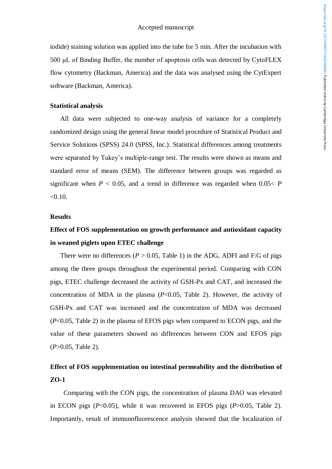iodide) staining solution was applied into the tube for 5 min. After the incubation with 500 μL of Binding Buffer, the number of apoptosis cells was detected by CytoFLEX flow cytometry (Backman, America) and the data was analysed using the CytExpert software (Backman, America).

#### **Statistical analysis**

All data were subjected to one-way analysis of variance for a completely randomized design using the general linear model procedure of Statistical Product and Service Solutions (SPSS) 24.0 (SPSS, Inc.). Statistical differences among treatments were separated by Tukey's multiple-range test. The results were shown as means and standard error of means (SEM). The difference between groups was regarded as significant when  $P < 0.05$ , and a trend in difference was regarded when  $0.05 < P$  $< 0.10$ .

#### **Results**

# **Effect of FOS supplementation on growth performance and antioxidant capacity in weaned piglets upon ETEC challenge**

There were no differences ( $P > 0.05$ , Table 1) in the ADG, ADFI and F:G of pigs among the three groups throughout the experimental period. Comparing with CON pigs, ETEC challenge decreased the activity of GSH-Px and CAT, and increased the concentration of MDA in the plasma (*P*<0.05, Table 2). However, the activity of GSH-Px and CAT was increased and the concentration of MDA was decreased (*P*<0.05, Table 2) in the plasma of EFOS pigs when compared to ECON pigs, and the value of these parameters showed no differences between CON and EFOS pigs (*P*>0.05, Table 2).

# **Effect of FOS supplementation on intestinal permeability and the distribution of ZO-1**

Comparing with the CON pigs, the concentration of plasma DAO was elevated in ECON pigs (*P*<0.05), while it was recovered in EFOS pigs (*P*>0.05, Table 2). Importantly, result of immunofluorescence analysis showed that the localization of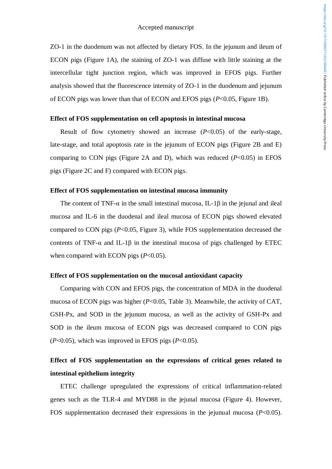ZO-1 in the duodenum was not affected by dietary FOS. In the jejunum and ileum of ECON pigs (Figure 1A), the staining of ZO-1 was diffuse with little staining at the intercellular tight junction region, which was improved in EFOS pigs. Further analysis showed that the fluorescence intensity of ZO-1 in the duodenum and jejunum of ECON pigs was lower than that of ECON and EFOS pigs (*P*<0.05, Figure 1B).

#### **Effect of FOS supplementation on cell apoptosis in intestinal mucosa**

Result of flow cytometry showed an increase (*P*<0.05) of the early-stage, late-stage, and total apoptosis rate in the jejunum of ECON pigs (Figure 2B and E) comparing to CON pigs (Figure 2A and D), which was reduced (*P*<0.05) in EFOS pigs (Figure 2C and F) compared with ECON pigs.

#### **Effect of FOS supplementation on intestinal mucosa immunity**

The content of TNF- $\alpha$  in the small intestinal mucosa, IL-1 $\beta$  in the jejunal and ileal mucosa and IL-6 in the duodenal and ileal mucosa of ECON pigs showed elevated compared to CON pigs (*P*<0.05, Figure 3), while FOS supplementation decreased the contents of TNF- $\alpha$  and IL-1 $\beta$  in the intestinal mucosa of pigs challenged by ETEC when compared with ECON pigs ( $P<0.05$ ).

#### **Effect of FOS supplementation on the mucosal antioxidant capacity**

Comparing with CON and EFOS pigs, the concentration of MDA in the duodenal mucosa of ECON pigs was higher (*P*<0.05, Table 3). Meanwhile, the activity of CAT, GSH-Px, and SOD in the jejunum mucosa, as well as the activity of GSH-Px and SOD in the ileum mucosa of ECON pigs was decreased compared to CON pigs (*P*<0.05), which was improved in EFOS pigs (*P*<0.05).

# **Effect of FOS supplementation on the expressions of critical genes related to intestinal epithelium integrity**

ETEC challenge upregulated the expressions of critical inflammation-related genes such as the TLR-4 and MYD88 in the jejunal mucosa (Figure 4). However, FOS supplementation decreased their expressions in the jejunual mucosa (*P*<0.05).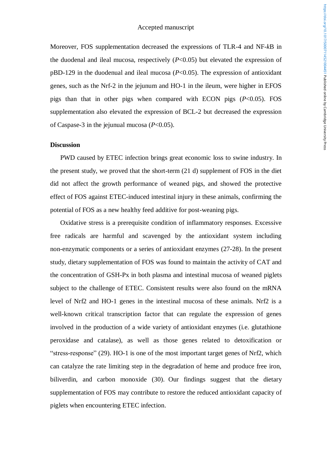Moreover, FOS supplementation decreased the expressions of TLR-4 and NF-*k*B in the duodenal and ileal mucosa, respectively (*P*<0.05) but elevated the expression of pBD-129 in the duodenual and ileal mucosa (*P*<0.05). The expression of antioxidant genes, such as the Nrf-2 in the jejunum and HO-1 in the ileum, were higher in EFOS pigs than that in other pigs when compared with ECON pigs (*P*<0.05). FOS supplementation also elevated the expression of BCL-2 but decreased the expression of Caspase-3 in the jejunual mucosa (*P*<0.05).

### **Discussion**

PWD caused by ETEC infection brings great economic loss to swine industry. In the present study, we proved that the short-term (21 d) supplement of FOS in the diet did not affect the growth performance of weaned pigs, and showed the protective effect of FOS against ETEC-induced intestinal injury in these animals, confirming the potential of FOS as a new healthy feed additive for post-weaning pigs.

Oxidative stress is a prerequisite condition of inflammatory responses. Excessive free radicals are harmful and scavenged by the antioxidant system including non-enzymatic components or a series of antioxidant enzymes (27-28). In the present study, dietary supplementation of FOS was found to maintain the activity of CAT and the concentration of GSH-Px in both plasma and intestinal mucosa of weaned piglets subject to the challenge of ETEC. Consistent results were also found on the mRNA level of Nrf2 and HO-1 genes in the intestinal mucosa of these animals. Nrf2 is a well-known critical transcription factor that can regulate the expression of genes involved in the production of a wide variety of antioxidant enzymes (i.e. glutathione peroxidase and catalase), as well as those genes related to detoxification or "stress-response" (29). HO-1 is one of the most important target genes of Nrf2, which can catalyze the rate limiting step in the degradation of heme and produce free iron, biliverdin, and carbon monoxide (30). Our findings suggest that the dietary supplementation of FOS may contribute to restore the reduced antioxidant capacity of piglets when encountering ETEC infection.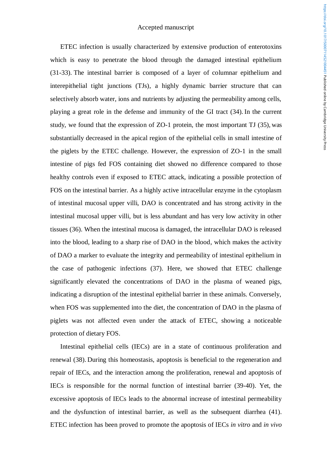ETEC infection is usually characterized by extensive production of enterotoxins which is easy to penetrate the blood through the damaged intestinal epithelium (31-33). The intestinal barrier is composed of a layer of columnar epithelium and interepithelial tight junctions (TJs), a highly dynamic barrier structure that can selectively absorb water, ions and nutrients by adjusting the permeability among cells, playing a great role in the defense and immunity of the GI tract (34). In the current study, we found that the expression of ZO-1 protein, the most important TJ (35), was substantially decreased in the apical region of the epithelial cells in small intestine of the piglets by the ETEC challenge. However, the expression of ZO-1 in the small intestine of pigs fed FOS containing diet showed no difference compared to those healthy controls even if exposed to ETEC attack, indicating a possible protection of FOS on the intestinal barrier. As a highly active intracellular enzyme in the cytoplasm of intestinal mucosal upper villi, DAO is concentrated and has strong activity in the intestinal mucosal upper villi, but is less abundant and has very low activity in other tissues (36). When the intestinal mucosa is damaged, the intracellular DAO is released into the blood, leading to a sharp rise of DAO in the blood, which makes the activity of DAO a marker to evaluate the integrity and permeability of intestinal epithelium in the case of pathogenic infections (37). Here, we showed that ETEC challenge significantly elevated the concentrations of DAO in the plasma of weaned pigs, indicating a disruption of the intestinal epithelial barrier in these animals. Conversely, when FOS was supplemented into the diet, the concentration of DAO in the plasma of piglets was not affected even under the attack of ETEC, showing a noticeable protection of dietary FOS.

Intestinal epithelial cells (IECs) are in a state of continuous proliferation and renewal (38). During this homeostasis, apoptosis is beneficial to the regeneration and repair of IECs, and the interaction among the proliferation, renewal and apoptosis of IECs is responsible for the normal function of intestinal barrier (39-40). Yet, the excessive apoptosis of IECs leads to the abnormal increase of intestinal permeability and the dysfunction of intestinal barrier, as well as the subsequent diarrhea (41). ETEC infection has been proved to promote the apoptosis of IECs *in vitro* and *in vivo*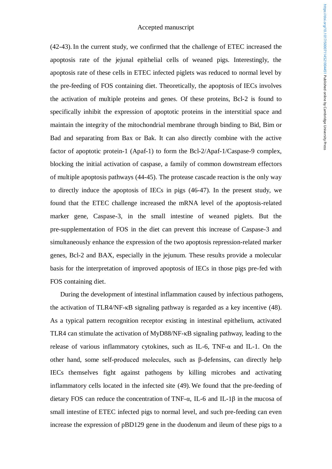(42-43). In the current study, we confirmed that the challenge of ETEC increased the apoptosis rate of the jejunal epithelial cells of weaned pigs. Interestingly, the apoptosis rate of these cells in ETEC infected piglets was reduced to normal level by the pre-feeding of FOS containing diet. Theoretically, the apoptosis of IECs involves the activation of multiple proteins and genes. Of these proteins, Bcl-2 is found to specifically inhibit the expression of apoptotic proteins in the interstitial space and maintain the integrity of the mitochondrial membrane through binding to Bid, Bim or Bad and separating from Bax or Bak. It can also directly combine with the active factor of apoptotic protein-1 (Apaf-1) to form the Bcl-2/Apaf-1/Caspase-9 complex, blocking the initial activation of caspase, a family of common downstream effectors of multiple apoptosis pathways (44-45). The protease cascade reaction is the only way to directly induce the apoptosis of IECs in pigs (46-47). In the present study, we found that the ETEC challenge increased the mRNA level of the apoptosis-related marker gene, Caspase-3, in the small intestine of weaned piglets. But the pre-supplementation of FOS in the diet can prevent this increase of Caspase-3 and simultaneously enhance the expression of the two apoptosis repression-related marker genes, Bcl-2 and BAX, especially in the jejunum. These results provide a molecular basis for the interpretation of improved apoptosis of IECs in those pigs pre-fed with FOS containing diet.

During the development of intestinal inflammation caused by infectious pathogens, the activation of TLR4/NF-κB signaling pathway is regarded as a key incentive (48). As a typical pattern recognition receptor existing in intestinal epithelium, activated TLR4 can stimulate the activation of MyD88/NF-κB signaling pathway, leading to the release of various inflammatory cytokines, such as IL-6, TNF-α and IL-1. On the other hand, some self-produced molecules, such as β-defensins, can directly help IECs themselves fight against pathogens by killing microbes and activating inflammatory cells located in the infected site (49). We found that the pre-feeding of dietary FOS can reduce the concentration of TNF-α, IL-6 and IL-1β in the mucosa of small intestine of ETEC infected pigs to normal level, and such pre-feeding can even increase the expression of pBD129 gene in the duodenum and ileum of these pigs to a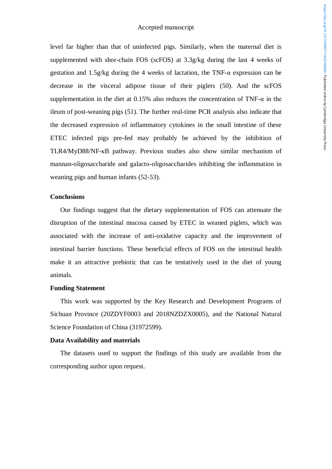level far higher than that of uninfected pigs. Similarly, when the maternal diet is supplemented with shor-chain FOS (scFOS) at 3.3g/kg during the last 4 weeks of gestation and 1.5g/kg during the 4 weeks of lactation, the TNF-α expression can be decrease in the visceral adipose tissue of their piglets (50). And the scFOS supplementation in the diet at 0.15% also reduces the concentration of TNF- $\alpha$  in the ileum of post-weaning pigs (51). The further real-time PCR analysis also indicate that the decreased expression of inflammatory cytokines in the small intestine of these ETEC infected pigs pre-fed may probably be achieved by the inhibition of TLR4/MyD88/NF-κB pathway. Previous studies also show similar mechanism of mannan-oligosaccharide and galacto-oligosaccharides inhibiting the inflammation in weaning pigs and human infants (52-53).

#### **Conclusions**

Our findings suggest that the dietary supplementation of FOS can attenuate the disruption of the intestinal mucosa caused by ETEC in weaned piglets, which was associated with the increase of anti-oxidative capacity and the improvement of intestinal barrier functions. These beneficial effects of FOS on the intestinal health make it an attractive prebiotic that can be tentatively used in the diet of young animals.

#### **Funding Statement**

This work was supported by the Key Research and Development Programs of Sichuan Province (20ZDYF0003 and 2018NZDZX0005), and the National Natural Science Foundation of China (31972599).

#### **Data Availability and materials**

The datasets used to support the findings of this study are available from the corresponding author upon request.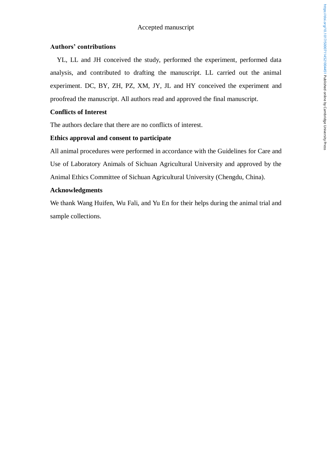## **Authors' contributions**

YL, LL and JH conceived the study, performed the experiment, performed data analysis, and contributed to drafting the manuscript. LL carried out the animal experiment. DC, BY, ZH, PZ, XM, JY, JL and HY conceived the experiment and proofread the manuscript. All authors read and approved the final manuscript.

## **Conflicts of Interest**

The authors declare that there are no conflicts of interest.

# **Ethics approval and consent to participate**

All animal procedures were performed in accordance with the Guidelines for Care and Use of Laboratory Animals of Sichuan Agricultural University and approved by the Animal Ethics Committee of Sichuan Agricultural University (Chengdu, China).

## **Acknowledgments**

We thank Wang Huifen, Wu Fali, and Yu En for their helps during the animal trial and sample collections.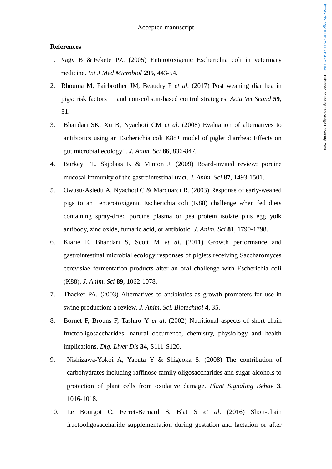## **References**

- 1. Nagy B & Fekete PZ. (2005) Enterotoxigenic Escherichia coli in veterinary medicine. *Int J Med Microbiol* **295**, 443-54.
- 2. Rhouma M, Fairbrother JM, Beaudry F *et al.* (2017) Post weaning diarrhea in pigs: risk factors and non-colistin-based control strategies. *Acta Vet Scand* **59**, 31.
- 3. Bhandari SK, Xu B, Nyachoti CM *et al*. (2008) Evaluation of alternatives to antibiotics using an Escherichia coli K88+ model of piglet diarrhea: Effects on gut microbial ecology1. *J. Anim. Sci* **86**, 836-847.
- 4. Burkey TE, Skjolaas K & Minton J. (2009) Board-invited review: porcine mucosal immunity of the gastrointestinal tract. *J. Anim. Sci* **87**, 1493-1501.
- 5. Owusu-Asiedu A, Nyachoti C & Marquardt R. (2003) Response of early-weaned pigs to an enterotoxigenic Escherichia coli (K88) challenge when fed diets containing spray-dried porcine plasma or pea protein isolate plus egg yolk antibody, zinc oxide, fumaric acid, or antibiotic. *J. Anim. Sci* **81**, 1790-1798.
- 6. Kiarie E, Bhandari S, Scott M *et al*. (2011) Growth performance and gastrointestinal microbial ecology responses of piglets receiving Saccharomyces cerevisiae fermentation products after an oral challenge with Escherichia coli (K88). *J. Anim. Sci* **89**, 1062-1078.
- 7. Thacker PA. (2003) Alternatives to antibiotics as growth promoters for use in swine production: a review. *J. Anim. Sci. Biotechnol* **4**, 35.
- 8. Bornet F, Brouns F, Tashiro Y *et al*. (2002) Nutritional aspects of short-chain fructooligosaccharides: natural occurrence, chemistry, physiology and health implications. *Dig. Liver Dis* **34**, S111-S120.
- 9. Nishizawa-Yokoi A, Yabuta Y & Shigeoka S. (2008) The contribution of carbohydrates including raffinose family oligosaccharides and sugar alcohols to protection of plant cells from oxidative damage. *Plant Signaling Behav* **3**, 1016-1018.
- 10. Le Bourgot C, Ferret-Bernard S, Blat S *et al*. (2016) Short-chain fructooligosaccharide supplementation during gestation and lactation or after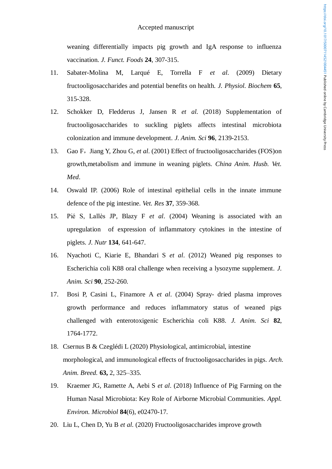weaning differentially impacts pig growth and IgA response to influenza vaccination. *J. Funct. Foods* **24**, 307-315.

- 11. Sabater-Molina M, Larqué E, Torrella F *et al*. (2009) Dietary fructooligosaccharides and potential benefits on health. *J. Physiol. Biochem* **65**, 315-328.
- 12. Schokker D, Fledderus J, Jansen R *et al*. (2018) Supplementation of fructooligosaccharides to suckling piglets affects intestinal microbiota colonization and immune development. *J. Anim. Sci* **96**, 2139-2153.
- 13. [Gao](https://xueshu.baidu.com/s?wd=author%3A%28F%20Gao%29%20&tn=SE_baiduxueshu_c1gjeupa&ie=utf-8&sc_f_para=sc_hilight%3Dperson) F, [Jiang](https://xueshu.baidu.com/s?wd=author%3A%28Y%20Jiang%29%20&tn=SE_baiduxueshu_c1gjeupa&ie=utf-8&sc_f_para=sc_hilight%3Dperson) Y, [Zhou](https://xueshu.baidu.com/s?wd=author%3A%28G%20Zhou%29%20&tn=SE_baiduxueshu_c1gjeupa&ie=utf-8&sc_f_para=sc_hilight%3Dperson) G, *et al.* (2001) Effect of fructooligosaccharides (FOS)on growth,metabolism and immune in weaning piglets. *China Anim. Husb. Vet. Med*.
- 14. Oswald IP. (2006) Role of intestinal epithelial cells in the innate immune defence of the pig intestine. *Vet. Res* **37**, 359-368.
- 15. Pié S, Lallès JP, Blazy F et al. (2004) Weaning is associated with an upregulation of expression of inflammatory cytokines in the intestine of piglets. *J. Nutr* **134**, 641-647.
- 16. Nyachoti C, Kiarie E, Bhandari S *et al*. (2012) Weaned pig responses to Escherichia coli K88 oral challenge when receiving a lysozyme supplement. *J. Anim. Sci* **90**, 252-260.
- 17. Bosi P, Casini L, Finamore A *et al*. (2004) Spray- dried plasma improves growth performance and reduces inflammatory status of weaned pigs challenged with enterotoxigenic Escherichia coli K88. *J. Anim. Sci* **82**, 1764-1772.
- 18. Csernus B & Czeglédi L (2020) Physiological, antimicrobial, intestine morphological, and immunological effects of fructooligosaccharides in pigs. *Arch. Anim. Breed.* **63,** 2, 325–335.
- 19. Kraemer JG, Ramette A, Aebi S *et al*. (2018) Influence of Pig Farming on the Human Nasal Microbiota: Key Role of Airborne Microbial Communities. *Appl. Environ. Microbiol* **84**(6), e02470-17.
- 20. Liu L, Chen D, Yu B *et al.* (2020) Fructooligosaccharides improve growth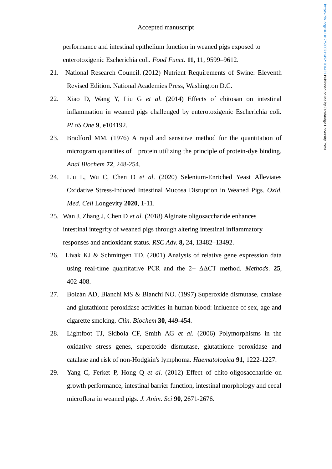performance and intestinal epithelium function in weaned pigs exposed to enterotoxigenic Escherichia coli. *Food Funct.* **11,** 11, 9599–9612.

- 21. National Research Council. (2012) Nutrient Requirements of Swine: Eleventh Revised Edition. National Academies Press, Washington D.C.
- 22. Xiao D, Wang Y, Liu G *et al*. (2014) Effects of chitosan on intestinal inflammation in weaned pigs challenged by enterotoxigenic Escherichia coli. *PLoS One* **9**, e104192.
- 23. Bradford MM. (1976) A rapid and sensitive method for the quantitation of microgram quantities of protein utilizing the principle of protein-dye binding. *Anal Biochem* **72**, 248-254.
- 24. Liu L, Wu C, Chen D *et al*. (2020) Selenium-Enriched Yeast Alleviates Oxidative Stress-Induced Intestinal Mucosa Disruption in Weaned Pigs. *Oxid. Med. Cell* Longevity **2020**, 1-11.
- 25. Wan J, Zhang J, Chen D *et al.* (2018) Alginate oligosaccharide enhances intestinal integrity of weaned pigs through altering intestinal inflammatory responses and antioxidant status. *RSC Adv.* **8,** 24, 13482–13492.
- 26. Livak KJ & Schmittgen TD. (2001) Analysis of relative gene expression data using real-time quantitative PCR and the 2− ΔΔCT method. *Methods*. **25**, 402-408.
- 27. Bolzán AD, Bianchi MS & Bianchi NO. (1997) Superoxide dismutase, catalase and glutathione peroxidase activities in human blood: influence of sex, age and cigarette smoking. *Clin. Biochem* **30**, 449-454.
- 28. Lightfoot TJ, Skibola CF, Smith AG *et al*. (2006) Polymorphisms in the oxidative stress genes, superoxide dismutase, glutathione peroxidase and catalase and risk of non-Hodgkin's lymphoma. *Haematologica* **91***,* 1222-1227.
- 29. Yang C, Ferket P, Hong Q *et al*. (2012) Effect of chito-oligosaccharide on growth performance, intestinal barrier function, intestinal morphology and cecal microflora in weaned pigs. *J. Anim. Sci* **90**, 2671-2676.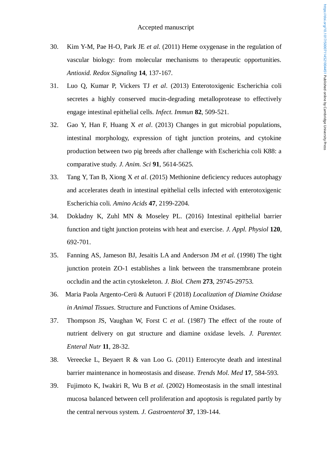- 30. Kim Y-M, Pae H-O, Park JE *et al*. (2011) Heme oxygenase in the regulation of vascular biology: from molecular mechanisms to therapeutic opportunities. *Antioxid. Redox Signaling* **14**, 137-167.
- 31. Luo Q, Kumar P, Vickers TJ *et al*. (2013) Enterotoxigenic Escherichia coli secretes a highly conserved mucin-degrading metalloprotease to effectively engage intestinal epithelial cells. *Infect. Immun* **82**, 509-521.
- 32. Gao Y, Han F, Huang X *et al*. (2013) Changes in gut microbial populations, intestinal morphology, expression of tight junction proteins, and cytokine production between two pig breeds after challenge with Escherichia coli K88: a comparative study. *J. Anim. Sci* **91**, 5614-5625.
- 33. Tang Y, Tan B, Xiong X *et al*. (2015) Methionine deficiency reduces autophagy and accelerates death in intestinal epithelial cells infected with enterotoxigenic Escherichia coli. *Amino Acids* **47**, 2199-2204.
- 34. Dokladny K, Zuhl MN & Moseley PL. (2016) Intestinal epithelial barrier function and tight junction proteins with heat and exercise. *J. Appl. Physiol* **120**, 692-701.
- 35. Fanning AS, Jameson BJ, Jesaitis LA and Anderson JM *et al*. (1998) The tight junction protein ZO-1 establishes a link between the transmembrane protein occludin and the actin cytoskeleton. *J. Biol. Chem* **273**, 29745-29753.
- 36. Maria Paola Argento-Cerü & Autuori F (2018) *Localization of Diamine Oxidase in Animal Tissues*. Structure and Functions of Amine Oxidases.
- 37. Thompson JS, Vaughan W, Forst C *et al*. (1987) The effect of the route of nutrient delivery on gut structure and diamine oxidase levels. *J. Parenter. Enteral Nutr* **11**, 28-32.
- 38. Vereecke L, Beyaert R & van Loo G. (2011) Enterocyte death and intestinal barrier maintenance in homeostasis and disease. *Trends Mol. Med* **17**, 584-593.
- 39. Fujimoto K, Iwakiri R, Wu B *et al*. (2002) Homeostasis in the small intestinal mucosa balanced between cell proliferation and apoptosis is regulated partly by the central nervous system. *J. Gastroenterol* **37**, 139-144.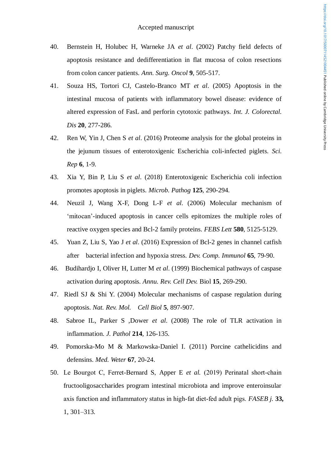- 40. Bernstein H, Holubec H, Warneke JA *et al*. (2002) Patchy field defects of apoptosis resistance and dedifferentiation in flat mucosa of colon resections from colon cancer patients. *Ann. Surg. Oncol* **9**, 505-517.
- 41. Souza HS, Tortori CJ, Castelo-Branco MT *et al*. (2005) Apoptosis in the intestinal mucosa of patients with inflammatory bowel disease: evidence of altered expression of FasL and perforin cytotoxic pathways. *Int. J. Colorectal. Dis* **20**, 277-286.
- 42. Ren W, Yin J, Chen S *et al*. (2016) Proteome analysis for the global proteins in the jejunum tissues of enterotoxigenic Escherichia coli-infected piglets. *Sci. Rep* **6**, 1-9.
- 43. Xia Y, Bin P, Liu S *et al*. (2018) Enterotoxigenic Escherichia coli infection promotes apoptosis in piglets. *Microb. Pathog* **125**, 290-294.
- 44. Neuzil J, Wang X-F, Dong L-F *et al*. (2006) Molecular mechanism of 'mitocan'-induced apoptosis in cancer cells epitomizes the multiple roles of reactive oxygen species and Bcl-2 family proteins. *FEBS Lett* **580**, 5125-5129.
- 45. Yuan Z, Liu S, Yao J *et al*. (2016) Expression of Bcl-2 genes in channel catfish after bacterial infection and hypoxia stress. *Dev. Comp. Immunol* **65**, 79-90.
- 46. Budihardjo I, Oliver H, Lutter M *et al*. (1999) Biochemical pathways of caspase activation during apoptosis. *Annu. Rev. Cell Dev.* Biol **15**, 269-290.
- 47. Riedl SJ & Shi Y. (2004) Molecular mechanisms of caspase regulation during apoptosis. *Nat. Rev. Mol. Cell Biol* **5**, 897-907.
- 48. Sabroe IL, Parker S ,Dower *et al*. (2008) The role of TLR activation in inflammation. *J. Pathol* **214**, 126-135.
- 49. Pomorska-Mo M & Markowska-Daniel I. (2011) Porcine cathelicidins and defensins. *Med. Weter* **67**, 20-24.
- 50. Le Bourgot C, Ferret‐Bernard S, Apper E *et al.* (2019) Perinatal short‐chain fructooligosaccharides program intestinal microbiota and improve enteroinsular axis function and inflammatory status in high‐fat diet‐fed adult pigs. *FASEB j.* **33,**  1, 301–313.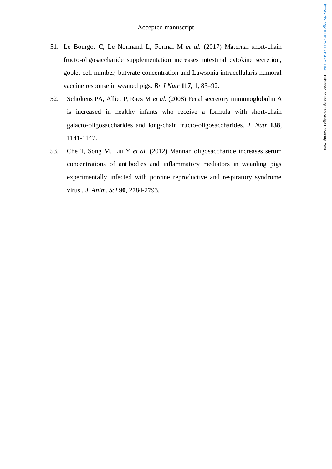- 51. Le Bourgot C, Le Normand L, Formal M *et al.* (2017) Maternal short-chain fructo-oligosaccharide supplementation increases intestinal cytokine secretion, goblet cell number, butyrate concentration and Lawsonia intracellularis humoral vaccine response in weaned pigs. *Br J Nutr* **117,** 1, 83–92.
- 52. Scholtens PA, Alliet P, Raes M *et al*. (2008) Fecal secretory immunoglobulin A is increased in healthy infants who receive a formula with short-chain galacto-oligosaccharides and long-chain fructo-oligosaccharides. *J. Nutr* **138**, 1141-1147.
- 53. Che T, Song M, Liu Y *et al*. (2012) Mannan oligosaccharide increases serum concentrations of antibodies and inflammatory mediators in weanling pigs experimentally infected with porcine reproductive and respiratory syndrome virus *. J. Anim. Sci* **90**, 2784-2793.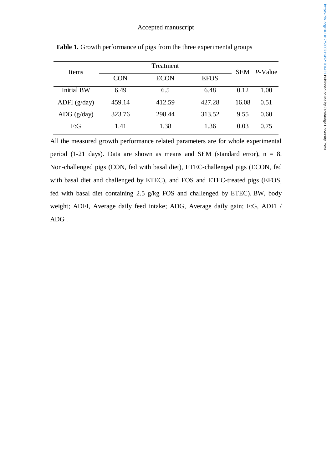| Items                | Treatment  |             |             |       | SEM <i>P</i> -Value |
|----------------------|------------|-------------|-------------|-------|---------------------|
|                      | <b>CON</b> | <b>ECON</b> | <b>EFOS</b> |       |                     |
| <b>Initial BW</b>    | 6.49       | 6.5         | 6.48        | 0.12  | 1.00                |
| ADFI $(g/day)$       | 459.14     | 412.59      | 427.28      | 16.08 | 0.51                |
| $\text{ADG}$ (g/day) | 323.76     | 298.44      | 313.52      | 9.55  | 0.60                |
| F:G                  | 1.41       | 1.38        | 1.36        | 0.03  | 0.75                |

Table 1. Growth performance of pigs from the three experimental groups

All the measured growth performance related parameters are for whole experimental period (1-21 days). Data are shown as means and SEM (standard error),  $n = 8$ . Non-challenged pigs (CON, fed with basal diet), ETEC-challenged pigs (ECON, fed with basal diet and challenged by ETEC), and FOS and ETEC-treated pigs (EFOS, fed with basal diet containing 2.5 g/kg FOS and challenged by ETEC). BW, body weight; ADFI, Average daily feed intake; ADG, Average daily gain; F:G, ADFI / ADG .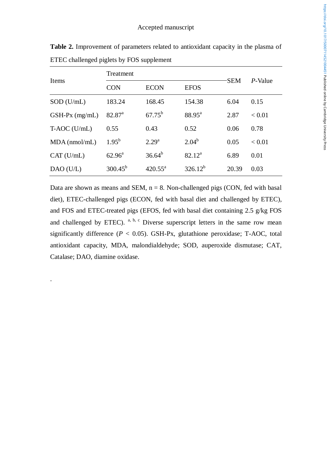|                  | Treatment          |                  |                    | <b>SEM</b> | P-Value |
|------------------|--------------------|------------------|--------------------|------------|---------|
| <b>Items</b>     | <b>CON</b>         | <b>ECON</b>      | <b>EFOS</b>        |            |         |
| $SOD$ (U/mL)     | 183.24             | 168.45           | 154.38             | 6.04       | 0.15    |
| $GSH-Px$ (mg/mL) | 82.87 <sup>a</sup> | $67.75^{\rm b}$  | $88.95^{\text{a}}$ | 2.87       | < 0.01  |
| $T- AOC$ (U/mL)  | 0.55               | 0.43             | 0.52               | 0.06       | 0.78    |
| $MDA$ (nmol/mL)  | $1.95^{\rm b}$     | $2.29^{a}$       | $2.04^{b}$         | 0.05       | < 0.01  |
| CAT (U/mL)       | $62.96^{\text{a}}$ | $36.64^{b}$      | $82.12^a$          | 6.89       | 0.01    |
| DAO(U/L)         | $300.45^{b}$       | $420.55^{\circ}$ | $326.12^{b}$       | 20.39      | 0.03    |

**Table 2.** Improvement of parameters related to antioxidant capacity in the plasma of ETEC challenged piglets by FOS supplement

Data are shown as means and SEM,  $n = 8$ . Non-challenged pigs (CON, fed with basal diet), ETEC-challenged pigs (ECON, fed with basal diet and challenged by ETEC), and FOS and ETEC-treated pigs (EFOS, fed with basal diet containing 2.5 g/kg FOS and challenged by ETEC).  $a, b, c$  Diverse superscript letters in the same row mean significantly difference ( $P < 0.05$ ). GSH-Px, glutathione peroxidase; T-AOC, total antioxidant capacity, MDA, malondialdehyde; SOD, auperoxide dismutase; CAT, Catalase; DAO, diamine oxidase.

.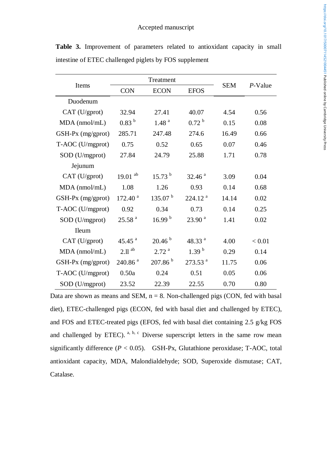|                     | Treatment             |                     |                       |            |            |
|---------------------|-----------------------|---------------------|-----------------------|------------|------------|
| Items               | <b>CON</b>            | <b>ECON</b>         | <b>EFOS</b>           | <b>SEM</b> | $P$ -Value |
| Duodenum            |                       |                     |                       |            |            |
| CAT (U/gprot)       | 32.94                 | 27.41               | 40.07                 | 4.54       | 0.56       |
| $MDA$ (nmol/mL)     | 0.83 <sup>b</sup>     | 1.48 <sup>a</sup>   | 0.72 <sup>b</sup>     | 0.15       | 0.08       |
| $GSH-Px$ (mg/gprot) | 285.71                | 247.48              | 274.6                 | 16.49      | 0.66       |
| T-AOC (U/mgprot)    | 0.75                  | 0.52                | 0.65                  | 0.07       | 0.46       |
| SOD (U/mgprot)      | 27.84                 | 24.79               | 25.88                 | 1.71       | 0.78       |
| Jejunum             |                       |                     |                       |            |            |
| CAT (U/gprot)       | $19.01$ <sup>ab</sup> | $15.73^{b}$         | 32.46 <sup>a</sup>    | 3.09       | 0.04       |
| $MDA$ (nmol/mL)     | 1.08                  | 1.26                | 0.93                  | 0.14       | 0.68       |
| GSH-Px (mg/gprot)   | 172.40 <sup>a</sup>   | 135.07 <sup>b</sup> | 224.12 <sup>a</sup>   | 14.14      | 0.02       |
| T-AOC (U/mgprot)    | 0.92                  | 0.34                | 0.73                  | 0.14       | 0.25       |
| SOD (U/mgprot)      | 25.58 <sup>a</sup>    | 16.99 <sup>b</sup>  | 23.90 <sup>a</sup>    | 1.41       | 0.02       |
| Ileum               |                       |                     |                       |            |            |
| CAT (U/gprot)       | 45.45 $^{a}$          | 20.46 <sup>b</sup>  | 48.33 $^{a}$          | 4.00       | < 0.01     |
| MDA (nmol/mL)       | $2.11$ <sup>ab</sup>  | 2.72 <sup>a</sup>   | 1.39 <sup>b</sup>     | 0.29       | 0.14       |
| $GSH-Px$ (mg/gprot) | $240.86$ <sup>a</sup> | 207.86 <sup>b</sup> | $273.53$ <sup>a</sup> | 11.75      | 0.06       |
| T-AOC (U/mgprot)    | 0.50a                 | 0.24                | 0.51                  | 0.05       | 0.06       |
| SOD (U/mgprot)      | 23.52                 | 22.39               | 22.55                 | 0.70       | 0.80       |

**Table 3.** Improvement of parameters related to antioxidant capacity in small intestine of ETEC challenged piglets by FOS supplement

Data are shown as means and SEM,  $n = 8$ . Non-challenged pigs (CON, fed with basal diet), ETEC-challenged pigs (ECON, fed with basal diet and challenged by ETEC), and FOS and ETEC-treated pigs (EFOS, fed with basal diet containing 2.5 g/kg FOS and challenged by ETEC).  $a, b, c$  Diverse superscript letters in the same row mean significantly difference  $(P < 0.05)$ . GSH-Px, Glutathione peroxidase; T-AOC, total antioxidant capacity, MDA, Malondialdehyde; SOD, Superoxide dismutase; CAT, Catalase.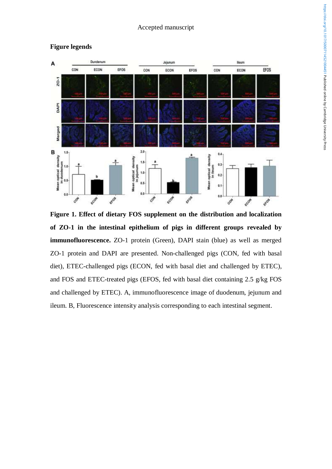

# **Figure legends**

**Figure 1. Effect of dietary FOS supplement on the distribution and localization of ZO-1 in the intestinal epithelium of pigs in different groups revealed by immunofluorescence.** ZO-1 protein (Green), DAPI stain (blue) as well as merged ZO-1 protein and DAPI are presented. Non-challenged pigs (CON, fed with basal diet), ETEC-challenged pigs (ECON, fed with basal diet and challenged by ETEC), and FOS and ETEC-treated pigs (EFOS, fed with basal diet containing 2.5 g/kg FOS and challenged by ETEC). A, immunofluorescence image of duodenum, jejunum and ileum. B, Fluorescence intensity analysis corresponding to each intestinal segment.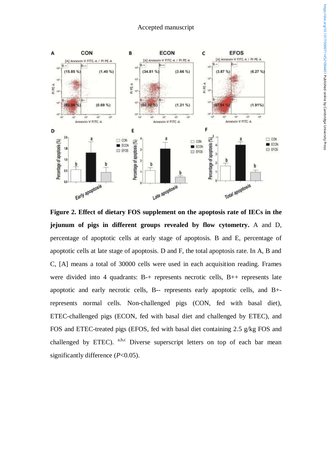

**Figure 2. Effect of dietary FOS supplement on the apoptosis rate of IECs in the jejunum of pigs in different groups revealed by flow cytometry.** A and D, percentage of apoptotic cells at early stage of apoptosis. B and E, percentage of apoptotic cells at late stage of apoptosis. D and F, the total apoptosis rate. In A, B and C, [A] means a total of 30000 cells were used in each acquisition reading. Frames were divided into 4 quadrants: B-+ represents necrotic cells, B++ represents late apoptotic and early necrotic cells, B-- represents early apoptotic cells, and B+ represents normal cells. Non-challenged pigs (CON, fed with basal diet), ETEC-challenged pigs (ECON, fed with basal diet and challenged by ETEC), and FOS and ETEC-treated pigs (EFOS, fed with basal diet containing 2.5 g/kg FOS and challenged by ETEC).  $a,b,c$  Diverse superscript letters on top of each bar mean significantly difference (*P*<0.05).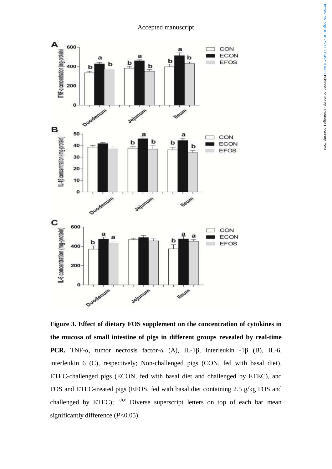

**Figure 3. Effect of dietary FOS supplement on the concentration of cytokines in the mucosa of small intestine of pigs in different groups revealed by real-time PCR***.* TNF-α, [tumor necrosis factor-α](https://www.biomart.cn/news/16/129807.htm) (A), IL-1β, interleukin -1β (B), IL-6, interleukin 6 (C), respectively; Non-challenged pigs (CON, fed with basal diet), ETEC-challenged pigs (ECON, fed with basal diet and challenged by ETEC), and FOS and ETEC-treated pigs (EFOS, fed with basal diet containing 2.5 g/kg FOS and challenged by ETEC);  $a,b,c$  Diverse superscript letters on top of each bar mean significantly difference (*P*<0.05).